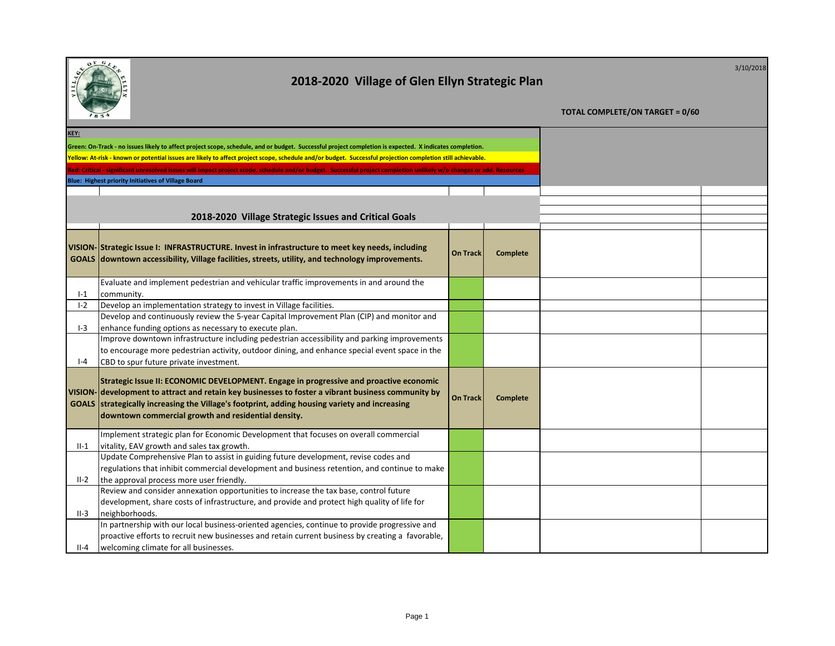|             | 2018-2020 Village of Glen Ellyn Strategic Plan                                                                                                                                                                                                                                                                                                       |                 | 3/10/2018                              |  |  |
|-------------|------------------------------------------------------------------------------------------------------------------------------------------------------------------------------------------------------------------------------------------------------------------------------------------------------------------------------------------------------|-----------------|----------------------------------------|--|--|
|             |                                                                                                                                                                                                                                                                                                                                                      |                 | <b>TOTAL COMPLETE/ON TARGET = 0/60</b> |  |  |
| <b>KEY:</b> |                                                                                                                                                                                                                                                                                                                                                      |                 |                                        |  |  |
|             | Green: On-Track - no issues likely to affect project scope, schedule, and or budget. Successful project completion is expected. X indicates completion.                                                                                                                                                                                              |                 |                                        |  |  |
|             | Yellow: At-risk - known or potential issues are likely to affect project scope, schedule and/or budget. Successful projection completion still achievable.                                                                                                                                                                                           |                 |                                        |  |  |
|             | Red: Critical - significant unresolved issues will impact project scope, schedule and/or budget. Successful project completion unlikely w/o changes or add. Resources                                                                                                                                                                                |                 |                                        |  |  |
|             | Blue: Highest priority Initiatives of Village Board                                                                                                                                                                                                                                                                                                  |                 |                                        |  |  |
|             |                                                                                                                                                                                                                                                                                                                                                      |                 |                                        |  |  |
|             |                                                                                                                                                                                                                                                                                                                                                      |                 |                                        |  |  |
|             | 2018-2020 Village Strategic Issues and Critical Goals                                                                                                                                                                                                                                                                                                |                 |                                        |  |  |
|             | VISION-Strategic Issue I: INFRASTRUCTURE. Invest in infrastructure to meet key needs, including<br>GOALS downtown accessibility, Village facilities, streets, utility, and technology improvements.                                                                                                                                                  | <b>On Track</b> | <b>Complete</b>                        |  |  |
|             | Evaluate and implement pedestrian and vehicular traffic improvements in and around the                                                                                                                                                                                                                                                               |                 |                                        |  |  |
| $I-1$       | community.                                                                                                                                                                                                                                                                                                                                           |                 |                                        |  |  |
| $I-2$       | Develop an implementation strategy to invest in Village facilities.                                                                                                                                                                                                                                                                                  |                 |                                        |  |  |
|             | Develop and continuously review the 5-year Capital Improvement Plan (CIP) and monitor and                                                                                                                                                                                                                                                            |                 |                                        |  |  |
| $I-3$       | enhance funding options as necessary to execute plan.                                                                                                                                                                                                                                                                                                |                 |                                        |  |  |
|             | Improve downtown infrastructure including pedestrian accessibility and parking improvements                                                                                                                                                                                                                                                          |                 |                                        |  |  |
| $I - 4$     | to encourage more pedestrian activity, outdoor dining, and enhance special event space in the<br>CBD to spur future private investment.                                                                                                                                                                                                              |                 |                                        |  |  |
|             | Strategic Issue II: ECONOMIC DEVELOPMENT. Engage in progressive and proactive economic<br>VISION- development to attract and retain key businesses to foster a vibrant business community by<br>GOALS strategically increasing the Village's footprint, adding housing variety and increasing<br>downtown commercial growth and residential density. | <b>On Track</b> | <b>Complete</b>                        |  |  |
|             | Implement strategic plan for Economic Development that focuses on overall commercial                                                                                                                                                                                                                                                                 |                 |                                        |  |  |
| $II-1$      | vitality, EAV growth and sales tax growth.<br>Update Comprehensive Plan to assist in guiding future development, revise codes and                                                                                                                                                                                                                    |                 |                                        |  |  |
|             | regulations that inhibit commercial development and business retention, and continue to make                                                                                                                                                                                                                                                         |                 |                                        |  |  |
| $II-2$      | the approval process more user friendly.                                                                                                                                                                                                                                                                                                             |                 |                                        |  |  |
|             | Review and consider annexation opportunities to increase the tax base, control future                                                                                                                                                                                                                                                                |                 |                                        |  |  |
|             | development, share costs of infrastructure, and provide and protect high quality of life for                                                                                                                                                                                                                                                         |                 |                                        |  |  |
| $II-3$      | neighborhoods.                                                                                                                                                                                                                                                                                                                                       |                 |                                        |  |  |
|             | In partnership with our local business-oriented agencies, continue to provide progressive and                                                                                                                                                                                                                                                        |                 |                                        |  |  |
|             | proactive efforts to recruit new businesses and retain current business by creating a favorable,                                                                                                                                                                                                                                                     |                 |                                        |  |  |
| II-4        | welcoming climate for all businesses.                                                                                                                                                                                                                                                                                                                |                 |                                        |  |  |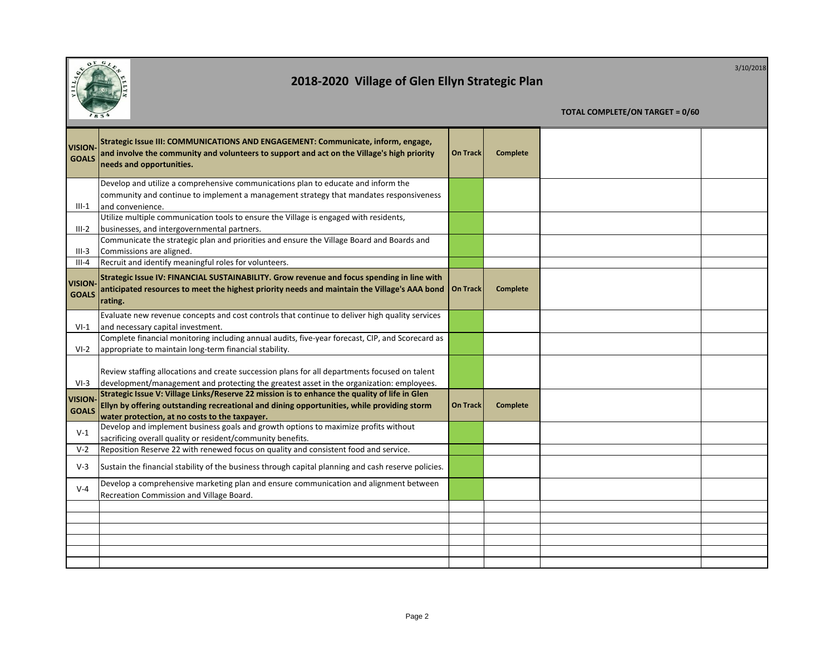

**TOTAL COMPLETE/ON TARGET = 0/60 VISION-GOALS Strategic Issue III: COMMUNICATIONS AND ENGAGEMENT: Communicate, inform, engage, and involve the community and volunteers to support and act on the Village's high priority needs and opportunities. On Track Complete** III-1 Develop and utilize a comprehensive communications plan to educate and inform the community and continue to implement a management strategy that mandates responsiveness and convenience. III-2 Utilize multiple communication tools to ensure the Village is engaged with residents, businesses, and intergovernmental partners. III-3 Communicate the strategic plan and priorities and ensure the Village Board and Boards and Commissions are aligned. III-4 Recruit and identify meaningful roles for volunteers. **VISION-GOALS Strategic Issue IV: FINANCIAL SUSTAINABILITY. Grow revenue and focus spending in line with anticipated resources to meet the highest priority needs and maintain the Village's AAA bond rating. On Track Complete**  $VI-1$ Evaluate new revenue concepts and cost controls that continue to deliver high quality services and necessary capital investment. VI-2 Complete financial monitoring including annual audits, five-year forecast, CIP, and Scorecard as appropriate to maintain long-term financial stability. VI-3 Review staffing allocations and create succession plans for all departments focused on talent development/management and protecting the greatest asset in the organization: employees. **VISION-GOALS Strategic Issue V: Village Links/Reserve 22 mission is to enhance the quality of life in Glen Ellyn by offering outstanding recreational and dining opportunities, while providing storm water protection, at no costs to the taxpayer. On Track Complete** V-1 Develop and implement business goals and growth options to maximize profits without sacrificing overall quality or resident/community benefits. V-2 Reposition Reserve 22 with renewed focus on quality and consistent food and service. V-3 Sustain the financial stability of the business through capital planning and cash reserve policies. V-4 Develop a comprehensive marketing plan and ensure communication and alignment between Recreation Commission and Village Board.

3/10/2018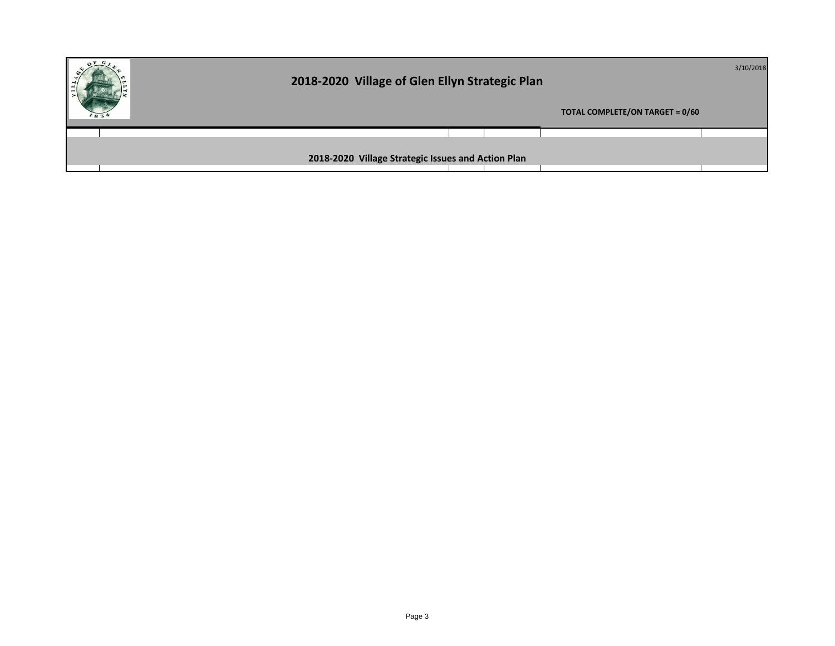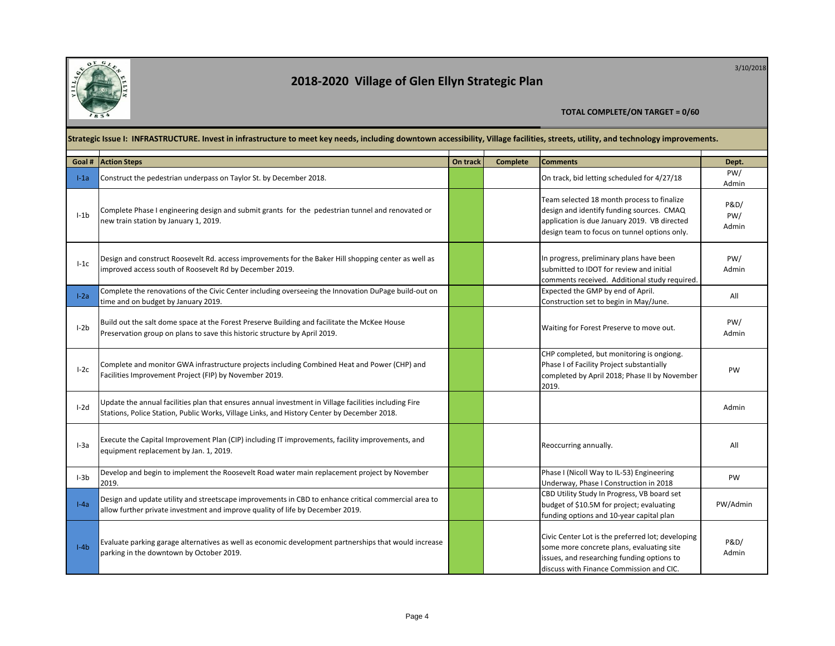

3/10/2018

|        | Strategic Issue I: INFRASTRUCTURE. Invest in infrastructure to meet key needs, including downtown accessibility, Village facilities, streets, utility, and technology improvements.                  |          |                 |                                                                                                                                                                                          |                      |  |  |
|--------|------------------------------------------------------------------------------------------------------------------------------------------------------------------------------------------------------|----------|-----------------|------------------------------------------------------------------------------------------------------------------------------------------------------------------------------------------|----------------------|--|--|
| Goal # | <b>Action Steps</b>                                                                                                                                                                                  | On track | <b>Complete</b> | <b>Comments</b>                                                                                                                                                                          | Dept.                |  |  |
| $l-1a$ | Construct the pedestrian underpass on Taylor St. by December 2018.                                                                                                                                   |          |                 | On track, bid letting scheduled for 4/27/18                                                                                                                                              | PW/<br>Admin         |  |  |
| $l-1b$ | Complete Phase I engineering design and submit grants for the pedestrian tunnel and renovated or<br>new train station by January 1, 2019.                                                            |          |                 | Team selected 18 month process to finalize<br>design and identify funding sources. CMAQ<br>application is due January 2019. VB directed<br>design team to focus on tunnel options only.  | P&D/<br>PW/<br>Admin |  |  |
| $I-1c$ | Design and construct Roosevelt Rd. access improvements for the Baker Hill shopping center as well as<br>improved access south of Roosevelt Rd by December 2019.                                      |          |                 | In progress, preliminary plans have been<br>submitted to IDOT for review and initial<br>comments received. Additional study required                                                     | PW/<br>Admin         |  |  |
| $I-2a$ | Complete the renovations of the Civic Center including overseeing the Innovation DuPage build-out on<br>time and on budget by January 2019.                                                          |          |                 | Expected the GMP by end of April.<br>Construction set to begin in May/June.                                                                                                              | All                  |  |  |
| $l-2b$ | Build out the salt dome space at the Forest Preserve Building and facilitate the McKee House<br>Preservation group on plans to save this historic structure by April 2019.                           |          |                 | Waiting for Forest Preserve to move out.                                                                                                                                                 | PW/<br>Admin         |  |  |
| $I-2c$ | Complete and monitor GWA infrastructure projects including Combined Heat and Power (CHP) and<br>Facilities Improvement Project (FIP) by November 2019.                                               |          |                 | CHP completed, but monitoring is ongiong.<br>Phase I of Facility Project substantially<br>completed by April 2018; Phase II by November<br>2019.                                         | PW                   |  |  |
| $I-2d$ | Update the annual facilities plan that ensures annual investment in Village facilities including Fire<br>Stations, Police Station, Public Works, Village Links, and History Center by December 2018. |          |                 |                                                                                                                                                                                          | Admin                |  |  |
| $I-3a$ | Execute the Capital Improvement Plan (CIP) including IT improvements, facility improvements, and<br>equipment replacement by Jan. 1, 2019.                                                           |          |                 | Reoccurring annually.                                                                                                                                                                    | All                  |  |  |
| $I-3b$ | Develop and begin to implement the Roosevelt Road water main replacement project by November<br>2019.                                                                                                |          |                 | Phase I (Nicoll Way to IL-53) Engineering<br>Underway, Phase I Construction in 2018                                                                                                      | PW                   |  |  |
| $I-4a$ | Design and update utility and streetscape improvements in CBD to enhance critical commercial area to<br>allow further private investment and improve quality of life by December 2019.               |          |                 | CBD Utility Study In Progress, VB board set<br>budget of \$10.5M for project; evaluating<br>funding options and 10-year capital plan                                                     | PW/Admin             |  |  |
| $I-4b$ | Evaluate parking garage alternatives as well as economic development partnerships that would increase<br>parking in the downtown by October 2019.                                                    |          |                 | Civic Center Lot is the preferred lot; developing<br>some more concrete plans, evaluating site<br>issues, and researching funding options to<br>discuss with Finance Commission and CIC. | P&D/<br>Admin        |  |  |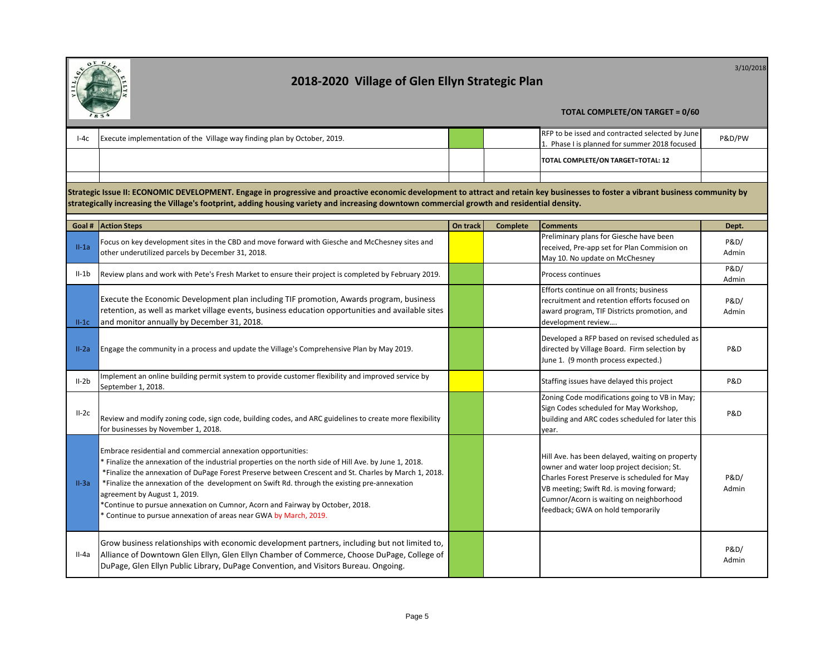

3/10/2018

|         | 1834<br><b>TOTAL COMPLETE/ON TARGET = 0/60</b>                                                                                                                                                                                                                                                                                                                                                                                                                                                                                                                        |          |                 |                                                                                                                                                                                                                                                                           |                          |  |
|---------|-----------------------------------------------------------------------------------------------------------------------------------------------------------------------------------------------------------------------------------------------------------------------------------------------------------------------------------------------------------------------------------------------------------------------------------------------------------------------------------------------------------------------------------------------------------------------|----------|-----------------|---------------------------------------------------------------------------------------------------------------------------------------------------------------------------------------------------------------------------------------------------------------------------|--------------------------|--|
| $I-4c$  | Execute implementation of the Village way finding plan by October, 2019.                                                                                                                                                                                                                                                                                                                                                                                                                                                                                              |          |                 | RFP to be issed and contracted selected by June<br>1. Phase I is planned for summer 2018 focused                                                                                                                                                                          | P&D/PW                   |  |
|         |                                                                                                                                                                                                                                                                                                                                                                                                                                                                                                                                                                       |          |                 | TOTAL COMPLETE/ON TARGET=TOTAL: 12                                                                                                                                                                                                                                        |                          |  |
|         |                                                                                                                                                                                                                                                                                                                                                                                                                                                                                                                                                                       |          |                 |                                                                                                                                                                                                                                                                           |                          |  |
|         | Strategic Issue II: ECONOMIC DEVELOPMENT. Engage in progressive and proactive economic development to attract and retain key businesses to foster a vibrant business community by<br>strategically increasing the Village's footprint, adding housing variety and increasing downtown commercial growth and residential density.                                                                                                                                                                                                                                      |          |                 |                                                                                                                                                                                                                                                                           |                          |  |
|         | <b>Goal # Action Steps</b>                                                                                                                                                                                                                                                                                                                                                                                                                                                                                                                                            | On track | <b>Complete</b> | <b>Comments</b>                                                                                                                                                                                                                                                           | Dept.                    |  |
| $II-1a$ | Focus on key development sites in the CBD and move forward with Giesche and McChesney sites and<br>other underutilized parcels by December 31, 2018.                                                                                                                                                                                                                                                                                                                                                                                                                  |          |                 | Preliminary plans for Giesche have been<br>received, Pre-app set for Plan Commision on<br>May 10. No update on McChesney                                                                                                                                                  | P&D/<br>Admin            |  |
| $II-1b$ | Review plans and work with Pete's Fresh Market to ensure their project is completed by February 2019.                                                                                                                                                                                                                                                                                                                                                                                                                                                                 |          |                 | Process continues                                                                                                                                                                                                                                                         | P&D/<br>Admin            |  |
| $II-1C$ | Execute the Economic Development plan including TIF promotion, Awards program, business<br>retention, as well as market village events, business education opportunities and available sites<br>and monitor annually by December 31, 2018.                                                                                                                                                                                                                                                                                                                            |          |                 | Efforts continue on all fronts; business<br>recruitment and retention efforts focused on<br>award program, TIF Districts promotion, and<br>development review                                                                                                             | P&D/<br>Admin            |  |
| $II-2a$ | Engage the community in a process and update the Village's Comprehensive Plan by May 2019.                                                                                                                                                                                                                                                                                                                                                                                                                                                                            |          |                 | Developed a RFP based on revised scheduled as<br>directed by Village Board. Firm selection by<br>June 1. (9 month process expected.)                                                                                                                                      | P&D                      |  |
| $II-2b$ | Implement an online building permit system to provide customer flexibility and improved service by<br>September 1, 2018.                                                                                                                                                                                                                                                                                                                                                                                                                                              |          |                 | Staffing issues have delayed this project                                                                                                                                                                                                                                 | P&D                      |  |
| $II-2c$ | Review and modify zoning code, sign code, building codes, and ARC guidelines to create more flexibility<br>for businesses by November 1, 2018.                                                                                                                                                                                                                                                                                                                                                                                                                        |          |                 | Zoning Code modifications going to VB in May;<br>Sign Codes scheduled for May Workshop,<br>building and ARC codes scheduled for later this<br>year.                                                                                                                       | P&D                      |  |
| $II-3a$ | Embrace residential and commercial annexation opportunities:<br>* Finalize the annexation of the industrial properties on the north side of Hill Ave. by June 1, 2018.<br>*Finalize the annexation of DuPage Forest Preserve between Crescent and St. Charles by March 1, 2018.<br>*Finalize the annexation of the development on Swift Rd. through the existing pre-annexation<br>agreement by August 1, 2019.<br>*Continue to pursue annexation on Cumnor, Acorn and Fairway by October, 2018.<br>* Continue to pursue annexation of areas near GWA by March, 2019. |          |                 | Hill Ave. has been delayed, waiting on property<br>owner and water loop project decision; St.<br>Charles Forest Preserve is scheduled for May<br>VB meeting; Swift Rd. is moving forward;<br>Cumnor/Acorn is waiting on neighborhood<br>feedback; GWA on hold temporarily | P&D/<br>Admin            |  |
| II-4a   | Grow business relationships with economic development partners, including but not limited to,<br>Alliance of Downtown Glen Ellyn, Glen Ellyn Chamber of Commerce, Choose DuPage, College of<br>DuPage, Glen Ellyn Public Library, DuPage Convention, and Visitors Bureau. Ongoing.                                                                                                                                                                                                                                                                                    |          |                 |                                                                                                                                                                                                                                                                           | <b>P&amp;D/</b><br>Admin |  |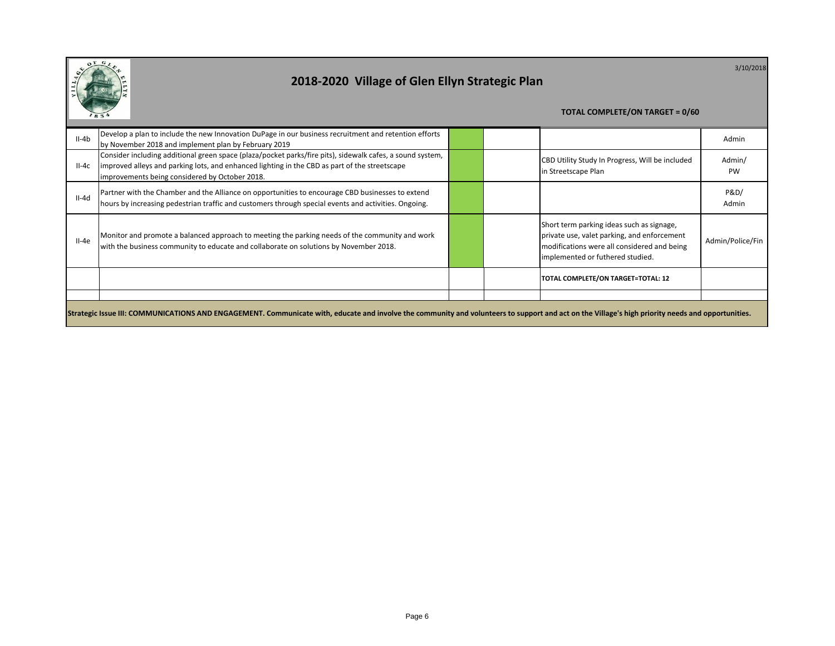

3/10/2018

| $II-4b$                                                                                                                                                                                           | Develop a plan to include the new Innovation DuPage in our business recruitment and retention efforts<br>by November 2018 and implement plan by February 2019                                                                                                |  |  |                                                                                                                                                                             | Admin               |
|---------------------------------------------------------------------------------------------------------------------------------------------------------------------------------------------------|--------------------------------------------------------------------------------------------------------------------------------------------------------------------------------------------------------------------------------------------------------------|--|--|-----------------------------------------------------------------------------------------------------------------------------------------------------------------------------|---------------------|
| $II-4c$                                                                                                                                                                                           | Consider including additional green space (plaza/pocket parks/fire pits), sidewalk cafes, a sound system,<br>improved alleys and parking lots, and enhanced lighting in the CBD as part of the streetscape<br>improvements being considered by October 2018. |  |  | CBD Utility Study In Progress, Will be included<br>in Streetscape Plan                                                                                                      | Admin/<br><b>PW</b> |
| $II-4d$                                                                                                                                                                                           | Partner with the Chamber and the Alliance on opportunities to encourage CBD businesses to extend<br>hours by increasing pedestrian traffic and customers through special events and activities. Ongoing.                                                     |  |  |                                                                                                                                                                             | P&D/<br>Admin       |
| $II-4e$                                                                                                                                                                                           | Monitor and promote a balanced approach to meeting the parking needs of the community and work<br>with the business community to educate and collaborate on solutions by November 2018.                                                                      |  |  | Short term parking ideas such as signage,<br>private use, valet parking, and enforcement<br>modifications were all considered and being<br>implemented or futhered studied. | Admin/Police/Fin    |
|                                                                                                                                                                                                   |                                                                                                                                                                                                                                                              |  |  | TOTAL COMPLETE/ON TARGET=TOTAL: 12                                                                                                                                          |                     |
|                                                                                                                                                                                                   |                                                                                                                                                                                                                                                              |  |  |                                                                                                                                                                             |                     |
| Strategic Issue III: COMMUNICATIONS AND ENGAGEMENT. Communicate with, educate and involve the community and volunteers to support and act on the Village's high priority needs and opportunities. |                                                                                                                                                                                                                                                              |  |  |                                                                                                                                                                             |                     |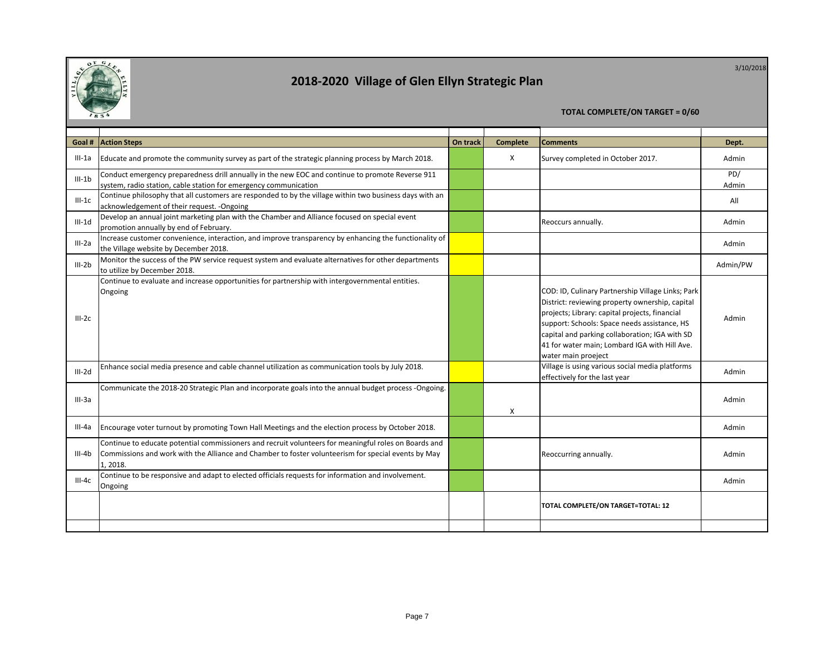

3/10/2018

#### **TOTAL COMPLETE/ON TARGET = 0/60 KEY: Goal # Action Steps On track Complete Comments Dept.** III-1a Educate and promote the community survey as part of the strategic planning process by March 2018. The Survey completed in October 2017. III-1b Conduct emergency preparedness drill annually in the new EOC and continue to promote Reverse 911 system, radio station, cable station for emergency communication PD/ Admin III-1c Continue philosophy that all customers are responded to by the village within two business days with an ontinue principle in the control of their request. -Ongoing All<br>cknowledgement of their request. -Ongoing All III-1d Develop an annual joint marketing plan with the Chamber and Alliance focused on special event promotion annually by end of February. Admin and channel and Amance rocused on special event. III-2a Increase customer convenience, interaction, and improve transparency by enhancing the functionality of the Village website by December 2018. Admin and improve transparency by emianting the runctionality of the same state of the same of the Village website by December 2018. III-2b Monitor the success of the PW service request system and evaluate alternatives for other departments to utilize by December 2018. Admin/PW III-2c Continue to evaluate and increase opportunities for partnership with intergovernmental entities. Ongoing COD: ID, Culinary Partnership Village Links; Park District: reviewing property ownership, capital projects; Library: capital projects, financial support: Schools: Space needs assistance, HS capital and parking collaboration; IGA with SD 41 for water main; Lombard IGA with Hill Ave. water main proeject Admin III-2d Enhance social media presence and cable channel utilization as communication tools by July 2018. Village is using various social media platforms various social media platforms effectively for the last year and platforms and mini-III-3a Communicate the 2018-20 Strategic Plan and incorporate goals into the annual budget process -Ongoing. X Admin III-4a Encourage voter turnout by promoting Town Hall Meetings and the election process by October 2018. III-4b Continue to educate potential commissioners and recruit volunteers for meaningful roles on Boards and Commissions and work with the Alliance and Chamber to foster volunteerism for special events by May 1, 2018. Reoccurring annually. The contract of the Admin III-4c Continue to be responsive and adapt to elected officials requests for information and involvement. ongoing and the companion of the companion of the companion of the companion of the companion of the companion<br>Ongoing

**TOTAL COMPLETE/ON TARGET=TOTAL: 12**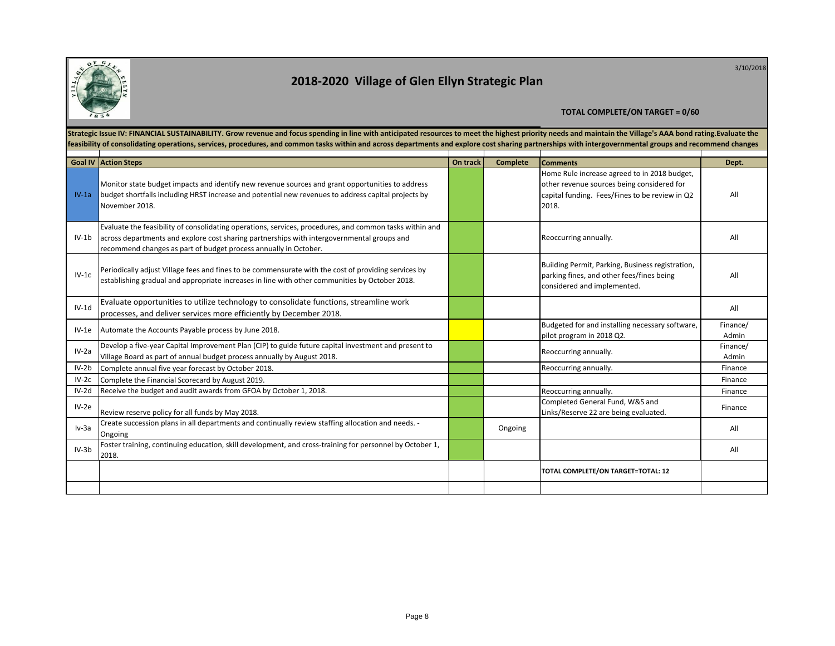

3/10/2018

|         | Strategic Issue IV: FINANCIAL SUSTAINABILITY. Grow revenue and focus spending in line with anticipated resources to meet the highest priority needs and maintain the Village's AAA bond rating. Evaluate the<br>feasibility of consolidating operations, services, procedures, and common tasks within and across departments and explore cost sharing partnerships with intergovernmental groups and recommend changes |          |                 |                                                                                                                                                       |                   |  |  |  |
|---------|-------------------------------------------------------------------------------------------------------------------------------------------------------------------------------------------------------------------------------------------------------------------------------------------------------------------------------------------------------------------------------------------------------------------------|----------|-----------------|-------------------------------------------------------------------------------------------------------------------------------------------------------|-------------------|--|--|--|
|         | Goal IV Action Steps                                                                                                                                                                                                                                                                                                                                                                                                    | On track | <b>Complete</b> | <b>Comments</b>                                                                                                                                       | Dept.             |  |  |  |
| $IV-1a$ | Monitor state budget impacts and identify new revenue sources and grant opportunities to address<br>budget shortfalls including HRST increase and potential new revenues to address capital projects by<br>November 2018.                                                                                                                                                                                               |          |                 | Home Rule increase agreed to in 2018 budget,<br>other revenue sources being considered for<br>capital funding. Fees/Fines to be review in Q2<br>2018. | All               |  |  |  |
| $IV-1b$ | Evaluate the feasibility of consolidating operations, services, procedures, and common tasks within and<br>across departments and explore cost sharing partnerships with intergovernmental groups and<br>recommend changes as part of budget process annually in October.                                                                                                                                               |          |                 | Reoccurring annually.                                                                                                                                 | All               |  |  |  |
| $IV-1c$ | Periodically adjust Village fees and fines to be commensurate with the cost of providing services by<br>establishing gradual and appropriate increases in line with other communities by October 2018.                                                                                                                                                                                                                  |          |                 | Building Permit, Parking, Business registration,<br>parking fines, and other fees/fines being<br>considered and implemented.                          | All               |  |  |  |
| $IV-1d$ | Evaluate opportunities to utilize technology to consolidate functions, streamline work<br>processes, and deliver services more efficiently by December 2018.                                                                                                                                                                                                                                                            |          |                 |                                                                                                                                                       | All               |  |  |  |
| $IV-1e$ | Automate the Accounts Payable process by June 2018.                                                                                                                                                                                                                                                                                                                                                                     |          |                 | Budgeted for and installing necessary software,<br>pilot program in 2018 Q2.                                                                          | Finance/<br>Admin |  |  |  |
| $IV-2a$ | Develop a five-year Capital Improvement Plan (CIP) to guide future capital investment and present to<br>Village Board as part of annual budget process annually by August 2018.                                                                                                                                                                                                                                         |          |                 | Reoccurring annually.                                                                                                                                 | Finance/<br>Admin |  |  |  |
| $IV-2b$ | Complete annual five year forecast by October 2018.                                                                                                                                                                                                                                                                                                                                                                     |          |                 | Reoccurring annually.                                                                                                                                 | Finance           |  |  |  |
| $IV-2c$ | Complete the Financial Scorecard by August 2019.                                                                                                                                                                                                                                                                                                                                                                        |          |                 |                                                                                                                                                       | Finance           |  |  |  |
| $IV-2d$ | Receive the budget and audit awards from GFOA by October 1, 2018.                                                                                                                                                                                                                                                                                                                                                       |          |                 | Reoccurring annually.                                                                                                                                 | Finance           |  |  |  |
| $IV-2e$ | Review reserve policy for all funds by May 2018.                                                                                                                                                                                                                                                                                                                                                                        |          |                 | Completed General Fund, W&S and<br>Links/Reserve 22 are being evaluated.                                                                              | Finance           |  |  |  |
| $Iv-3a$ | Create succession plans in all departments and continually review staffing allocation and needs. -<br>Ongoing                                                                                                                                                                                                                                                                                                           |          | Ongoing         |                                                                                                                                                       | All               |  |  |  |
| $IV-3b$ | Foster training, continuing education, skill development, and cross-training for personnel by October 1,<br>2018.                                                                                                                                                                                                                                                                                                       |          |                 |                                                                                                                                                       | All               |  |  |  |
|         |                                                                                                                                                                                                                                                                                                                                                                                                                         |          |                 | TOTAL COMPLETE/ON TARGET=TOTAL: 12                                                                                                                    |                   |  |  |  |
|         |                                                                                                                                                                                                                                                                                                                                                                                                                         |          |                 |                                                                                                                                                       |                   |  |  |  |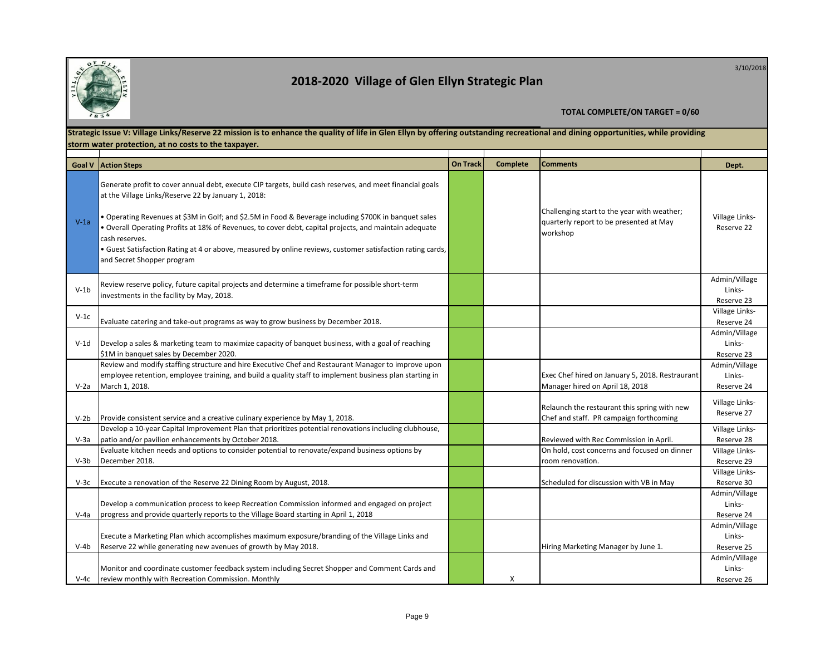

3/10/2018

|        | Strategic Issue V: Village Links/Reserve 22 mission is to enhance the quality of life in Glen Ellyn by offering outstanding recreational and dining opportunities, while providing                                                                                                                                                                                                                                                                                                                                                               |                 |                 |                                                                                                    |                                       |  |  |  |
|--------|--------------------------------------------------------------------------------------------------------------------------------------------------------------------------------------------------------------------------------------------------------------------------------------------------------------------------------------------------------------------------------------------------------------------------------------------------------------------------------------------------------------------------------------------------|-----------------|-----------------|----------------------------------------------------------------------------------------------------|---------------------------------------|--|--|--|
|        | storm water protection, at no costs to the taxpayer.                                                                                                                                                                                                                                                                                                                                                                                                                                                                                             |                 |                 |                                                                                                    |                                       |  |  |  |
|        |                                                                                                                                                                                                                                                                                                                                                                                                                                                                                                                                                  |                 |                 |                                                                                                    |                                       |  |  |  |
|        | <b>Goal V Action Steps</b>                                                                                                                                                                                                                                                                                                                                                                                                                                                                                                                       | <b>On Track</b> | <b>Complete</b> | <b>Comments</b>                                                                                    | Dept.                                 |  |  |  |
| $V-1a$ | Generate profit to cover annual debt, execute CIP targets, build cash reserves, and meet financial goals<br>at the Village Links/Reserve 22 by January 1, 2018:<br>• Operating Revenues at \$3M in Golf; and \$2.5M in Food & Beverage including \$700K in banquet sales<br>. Overall Operating Profits at 18% of Revenues, to cover debt, capital projects, and maintain adequate<br>cash reserves.<br>. Guest Satisfaction Rating at 4 or above, measured by online reviews, customer satisfaction rating cards,<br>and Secret Shopper program |                 |                 | Challenging start to the year with weather;<br>quarterly report to be presented at May<br>workshop | Village Links-<br>Reserve 22          |  |  |  |
| $V-1b$ | Review reserve policy, future capital projects and determine a timeframe for possible short-term<br>investments in the facility by May, 2018.                                                                                                                                                                                                                                                                                                                                                                                                    |                 |                 |                                                                                                    | Admin/Village<br>Links-<br>Reserve 23 |  |  |  |
| $V-1c$ | Evaluate catering and take-out programs as way to grow business by December 2018.                                                                                                                                                                                                                                                                                                                                                                                                                                                                |                 |                 |                                                                                                    | Village Links-<br>Reserve 24          |  |  |  |
| V-1d   | Develop a sales & marketing team to maximize capacity of banguet business, with a goal of reaching<br>\$1M in banquet sales by December 2020.                                                                                                                                                                                                                                                                                                                                                                                                    |                 |                 |                                                                                                    | Admin/Village<br>Links-<br>Reserve 23 |  |  |  |
| $V-2a$ | Review and modify staffing structure and hire Executive Chef and Restaurant Manager to improve upon<br>employee retention, employee training, and build a quality staff to implement business plan starting in<br>March 1, 2018.                                                                                                                                                                                                                                                                                                                 |                 |                 | Exec Chef hired on January 5, 2018. Restraurant<br>Manager hired on April 18, 2018                 | Admin/Village<br>Links-<br>Reserve 24 |  |  |  |
| V-2b   | Provide consistent service and a creative culinary experience by May 1, 2018.                                                                                                                                                                                                                                                                                                                                                                                                                                                                    |                 |                 | Relaunch the restaurant this spring with new<br>Chef and staff. PR campaign forthcoming            | Village Links-<br>Reserve 27          |  |  |  |
| V-3a   | Develop a 10-year Capital Improvement Plan that prioritizes potential renovations including clubhouse,<br>patio and/or pavilion enhancements by October 2018.                                                                                                                                                                                                                                                                                                                                                                                    |                 |                 | Reviewed with Rec Commission in April.                                                             | Village Links-<br>Reserve 28          |  |  |  |
| V-3b   | Evaluate kitchen needs and options to consider potential to renovate/expand business options by<br>December 2018.                                                                                                                                                                                                                                                                                                                                                                                                                                |                 |                 | On hold, cost concerns and focused on dinner<br>room renovation.                                   | Village Links-<br>Reserve 29          |  |  |  |
| V-3c   | Execute a renovation of the Reserve 22 Dining Room by August, 2018.                                                                                                                                                                                                                                                                                                                                                                                                                                                                              |                 |                 | Scheduled for discussion with VB in May                                                            | Village Links-<br>Reserve 30          |  |  |  |
| V-4a   | Develop a communication process to keep Recreation Commission informed and engaged on project<br>progress and provide quarterly reports to the Village Board starting in April 1, 2018                                                                                                                                                                                                                                                                                                                                                           |                 |                 |                                                                                                    | Admin/Village<br>Links-<br>Reserve 24 |  |  |  |
| V-4b   | Execute a Marketing Plan which accomplishes maximum exposure/branding of the Village Links and<br>Reserve 22 while generating new avenues of growth by May 2018.                                                                                                                                                                                                                                                                                                                                                                                 |                 |                 | Hiring Marketing Manager by June 1.                                                                | Admin/Village<br>Links-<br>Reserve 25 |  |  |  |
|        | Monitor and coordinate customer feedback system including Secret Shopper and Comment Cards and<br>V-4c review monthly with Recreation Commission. Monthly                                                                                                                                                                                                                                                                                                                                                                                        |                 | X               |                                                                                                    | Admin/Village<br>Links-<br>Reserve 26 |  |  |  |